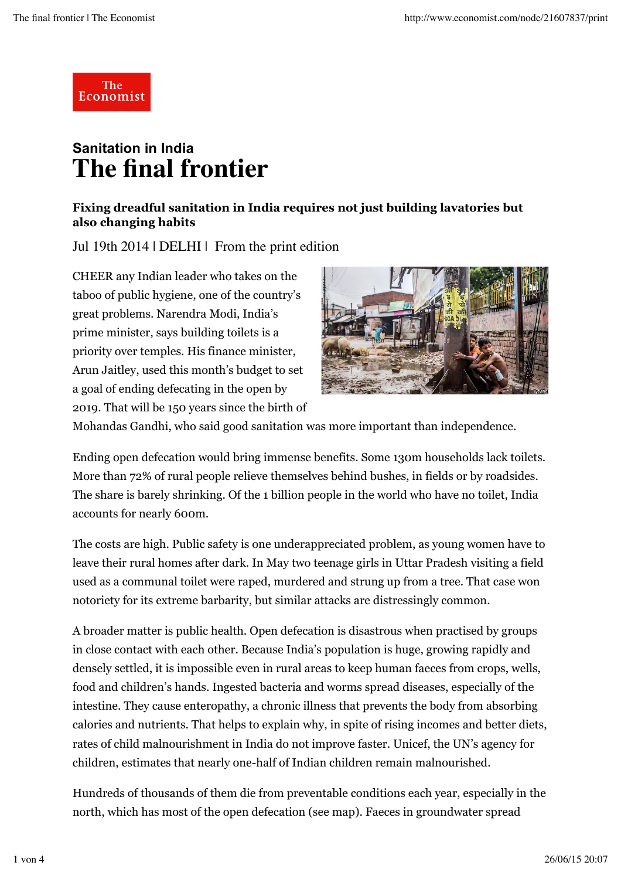

## **Sanitation in India The final frontier**

## **Fixing dreadful sanitation in India requires not just building lavatories but also changing habits**

Jul 19th 2014 | DELHI | From the print edition

CHEER any Indian leader who takes on the taboo of public hygiene, one of the country's great problems. Narendra Modi, India's prime minister, says building toilets is a priority over temples. His finance minister, Arun Jaitley, used this month's budget to set a goal of ending defecating in the open by 2019. That will be 150 years since the birth of



Mohandas Gandhi, who said good sanitation was more important than independence.

Ending open defecation would bring immense benefits. Some 130m households lack toilets. More than 72% of rural people relieve themselves behind bushes, in fields or by roadsides. The share is barely shrinking. Of the 1 billion people in the world who have no toilet, India accounts for nearly 600m.

The costs are high. Public safety is one underappreciated problem, as young women have to leave their rural homes after dark. In May two teenage girls in Uttar Pradesh visiting a field used as a communal toilet were raped, murdered and strung up from a tree. That case won notoriety for its extreme barbarity, but similar attacks are distressingly common.

A broader matter is public health. Open defecation is disastrous when practised by groups in close contact with each other. Because India's population is huge, growing rapidly and densely settled, it is impossible even in rural areas to keep human faeces from crops, wells, food and children's hands. Ingested bacteria and worms spread diseases, especially of the intestine. They cause enteropathy, a chronic illness that prevents the body from absorbing calories and nutrients. That helps to explain why, in spite of rising incomes and better diets, rates of child malnourishment in India do not improve faster. Unicef, the UN's agency for children, estimates that nearly one-half of Indian children remain malnourished.

Hundreds of thousands of them die from preventable conditions each year, especially in the north, which has most of the open defecation (see map). Faeces in groundwater spread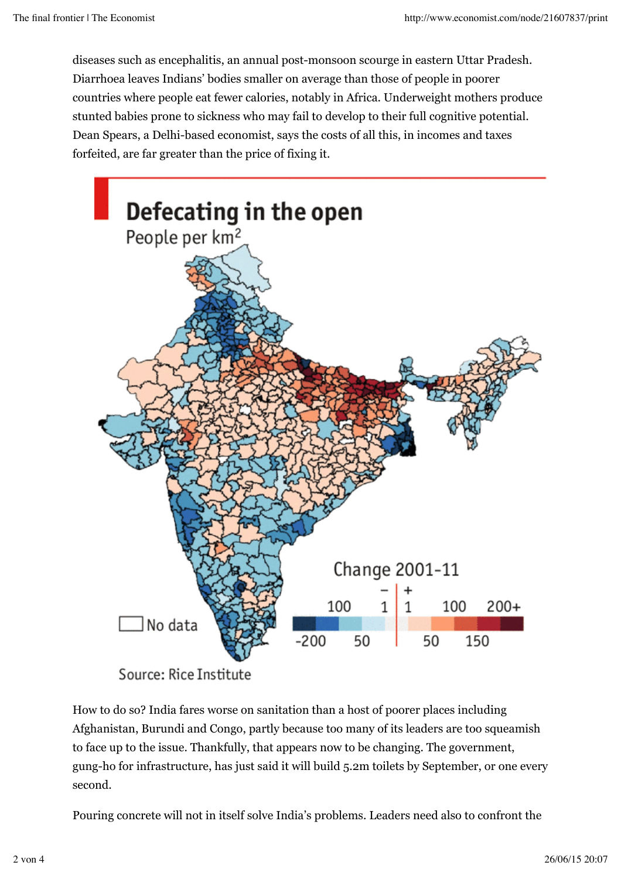diseases such as encephalitis, an annual post-monsoon scourge in eastern Uttar Pradesh. Diarrhoea leaves Indians' bodies smaller on average than those of people in poorer countries where people eat fewer calories, notably in Africa. Underweight mothers produce stunted babies prone to sickness who may fail to develop to their full cognitive potential. Dean Spears, a Delhi-based economist, says the costs of all this, in incomes and taxes forfeited, are far greater than the price of fixing it.



Source: Rice Institute

How to do so? India fares worse on sanitation than a host of poorer places including Afghanistan, Burundi and Congo, partly because too many of its leaders are too squeamish to face up to the issue. Thankfully, that appears now to be changing. The government, gung-ho for infrastructure, has just said it will build 5.2m toilets by September, or one every second.

Pouring concrete will not in itself solve India's problems. Leaders need also to confront the